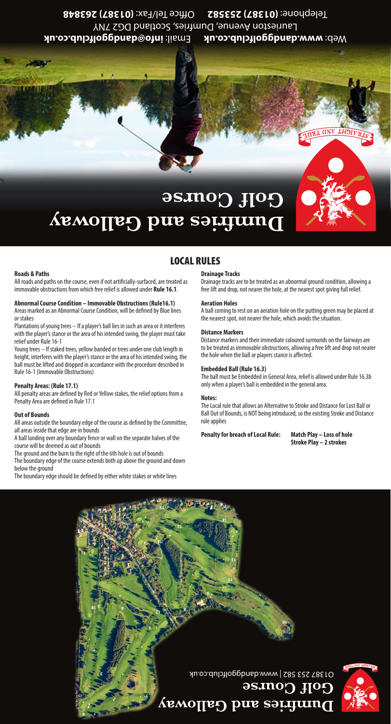**info@dandggolfclub.co.uk** Email: **www.dandggolfclub.co.uk** Web: Laurieston Avenue, Dumfries, Scotland DG2 7NY **(01387) 263848** Office Tel/Fax: **(01387) 253582** Telephone:

# **Dumfries and Galloway Golf Course**

## LOCAL RULES

#### **Roads & Paths**

All roads and paths on the course, even if not artificially-surfaced, are treated as immovable obstructions from which free relief is allowed under **Rule 16.1**.

### **Abnormal Course Condition – Immovable Obstructions (Rule16.1)**

Areas marked as an Abnormal Course Condition, will be defined by Blue lines or stakes Plantations of young trees – If a player's ball lies in such an area or it interferes

with the player's stance or the area of his intended swing, the player must take relief under Rule 16-1 Young trees – If staked trees, yellow banded or trees under one club length in

height, interferes with the player's stance or the area of his intended swing, the ball must be lifted and dropped in accordance with the procedure described in Rule 16-1 (Immovable Obstructions)

#### **Penalty Areas: (Rule 17.1)**

All penalty areas are defined by Red or Yellow stakes, the relief options from a Penalty Area are defined in Rule 17.1

#### **Out of Bounds**

All areas outside the boundary edge of the course as defined by the Committee, all areas inside that edge are in bounds

A ball landing over any boundary fence or wall on the separate halves of the course will be deemed as out of bounds

The ground and the burn to the right of the 6th hole is out of bounds

The boundary edge of the course extends both up above the ground and down below the ground

The boundary edge should be defined by either white stakes or white lines

#### **Drainage Tracks**

Drainage tracks are to be treated as an abnormal ground condition, allowing a free lift and drop, not nearer the hole, at the nearest spot giving full relief.

#### **Aeration Holes**

A ball coming to rest on an aeration hole on the putting green may be placed at the nearest spot, not nearer the hole, which avoids the situation.

#### **Distance Markers**

Distance markers and their immediate coloured surrounds on the fairways are to be treated as immovable obstructions, allowing a free lift and drop not nearer the hole when the ball or players stance is affected.

#### **Embedded Ball (Rule 16.3)**

The ball must be Embedded in General Area, relief is allowed under Rule 16.3b only when a player's ball is embedded in the general area.

#### **Notes:**

The Local rule that allows an Alternative to Stroke and Distance for Lost Ball or Ball Out of Bounds, is NOT being introduced, so the existing Stroke and Distance rule applies

**Penalty for breach of Local Rule: Match Play – Loss of hole**

**Stroke Play – 2 strokes**

**GNV LH5**